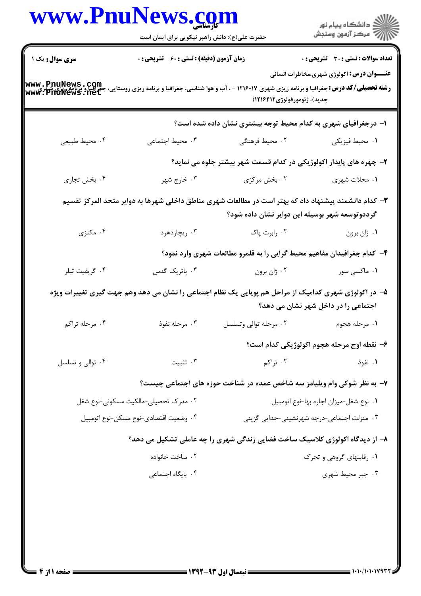|                                      | www.PnuNews.com<br>حضرت علی(ع): دانش راهبر نیکویی برای ایمان است |                                                                                                                                                        |                                                                                                  |
|--------------------------------------|------------------------------------------------------------------|--------------------------------------------------------------------------------------------------------------------------------------------------------|--------------------------------------------------------------------------------------------------|
| <b>سری سوال :</b> یک ۱               | زمان آزمون (دقیقه) : تستی : ۶۰٪ تشریحی : ۰                       |                                                                                                                                                        | <b>تعداد سوالات : تستی : 30 ٪ تشریحی : 0</b><br><b>عنـــوان درس:</b> اکولوژی شهری،مخاطرات انسانی |
|                                      |                                                                  | جديد)، ژئومورفولوژي ١٢١۶۴١٢)                                                                                                                           |                                                                                                  |
|                                      |                                                                  | ۱– درجغرافیای شهری به کدام محیط توجه بیشتری نشان داده شده است؟                                                                                         |                                                                                                  |
| ۰۴ محيط طبيعي                        | ۰۳ محیط اجتماعی                                                  | ۰۲ محیط فرهنگی                                                                                                                                         | ٠١ محيط فيزيكي                                                                                   |
|                                      |                                                                  | ۲- چهره های پایدار اکولوژیکی در کدام قسمت شهر بیشتر جلوه می نماید؟                                                                                     |                                                                                                  |
| ۰۴ بخش تجاري                         | ۰۳ خارج شهر                                                      | ۰۲ بخش مرکزی                                                                                                                                           | ۰۱ محلات شهري                                                                                    |
|                                      |                                                                  | ۳- کدام دانشمند پیشنهاد داد که بهتر است در مطالعات شهری مناطق داخلی شهرها به دوایر متحد المرکز تقسیم<br>گرددوتوسعه شهر بوسیله این دوایر نشان داده شود؟ |                                                                                                  |
| ۰۴ مکنزی                             | ۰۳ ریچاردهرد                                                     | ۰۲ رابرت پاک                                                                                                                                           | ۰۱ ژان برون                                                                                      |
|                                      |                                                                  | ۴- کدام جغرافیدان مفاهیم محیط گرایی را به قلمرو مطالعات شهری وارد نمود؟                                                                                |                                                                                                  |
| ۰۴ گريفيت تيلر                       | ۰۳ پاتریک گدس                                                    | ۰۲ ژان برون                                                                                                                                            | ۰۱ ماکسی سور                                                                                     |
|                                      |                                                                  | ۵– در اکولوژی شهری کدامیک از مراحل هم پویایی یک نظام اجتماعی را نشان می دهد وهم جهت گیری تغییرات ویژه                                                  | اجتماعی را در داخل شهر نشان می دهد؟                                                              |
| ۰۴ مرحله تراکم                       | ۰۳ مرحله نفوذ                                                    | ۰۲ مرحله توالی وتسلسل                                                                                                                                  | ٠١ مرحله هجوم                                                                                    |
|                                      |                                                                  |                                                                                                                                                        | ۶– نقطه اوج مرحله هجوم اکولوژیکی کدام است؟                                                       |
| ۰۴ توالی و تسلسل                     | ۰۳ تثبیت                                                         | ۰۲ تراکم                                                                                                                                               | ۰۱ نفوذ                                                                                          |
|                                      |                                                                  | ۷- به نظر شوکی وام ویلیامز سه شاخص عمده در شناخت حوزه های اجتماعی چیست؟                                                                                |                                                                                                  |
| ۰۲ مدرک تحصیلی-مالکیت مسکونی-نوع شغل |                                                                  | ٠١ نوع شغل-ميزان اجاره بها-نوع اتومبيل                                                                                                                 |                                                                                                  |
|                                      | ۰۴ وضعيت اقتصادي-نوع مسكن-نوع اتومبيل                            |                                                                                                                                                        | ۰۳ منزلت اجتماعی-درجه شهرنشینی-جدایی گزینی                                                       |
|                                      |                                                                  | ۸– از دیدگاه اکولوژی کلاسیک ساخت فضایی زندگی شهری را چه عاملی تشکیل می دهد؟                                                                            |                                                                                                  |
|                                      | ۰۲ ساخت خانواده                                                  |                                                                                                                                                        | ۰۱ رقابتهای گروهی و تحرک                                                                         |
|                                      | ۰۴ پایگاه اجتماعی                                                |                                                                                                                                                        | ۰۳ جبر محیط شهری                                                                                 |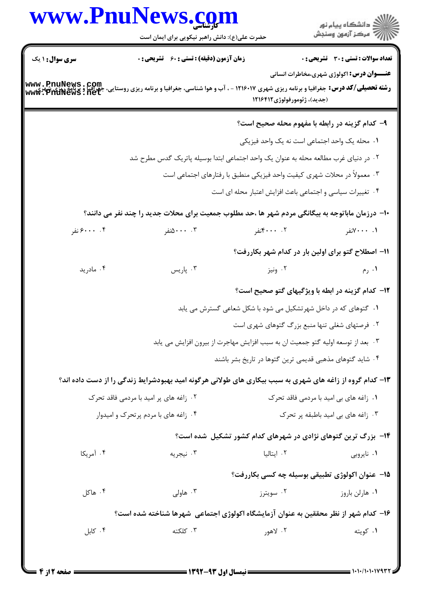|                        | حضرت علی(ع): دانش راهبر نیکویی برای ایمان است                                                                                                                                                |                                                                                                                                       | ان دانشگاه پيام نور<br>اس مرکز آزمون وسنجش       |
|------------------------|----------------------------------------------------------------------------------------------------------------------------------------------------------------------------------------------|---------------------------------------------------------------------------------------------------------------------------------------|--------------------------------------------------|
| <b>سری سوال : ۱ یک</b> | <b>زمان آزمون (دقیقه) : تستی : 60 ٪ تشریحی : 0</b>                                                                                                                                           |                                                                                                                                       | <b>تعداد سوالات : تستي : 30 - تشريحي : 0</b>     |
|                        |                                                                                                                                                                                              |                                                                                                                                       | <b>عنـــوان درس:</b> اکولوژی شهری،مخاطرات انسانی |
|                        | <b>www . PnuNews . Com</b><br><b>رشته تحصیلی/کد درس:</b> جغرافیا و برنامه ریزی شهری ۱۲۱۶۰۱۷ - ، آب و هوا شناسی، جغرافیا و برنامه ریزی روستایی، جغرافیا و برنامه ریزی ش<br>www: PnuNews . net | (جديد)، ژئومورفولوژي ١٢١٦٤٢١٢                                                                                                         |                                                  |
|                        |                                                                                                                                                                                              |                                                                                                                                       |                                                  |
|                        |                                                                                                                                                                                              | ۹- کدام گزینه در رابطه با مفهوم محله صحیح است؟                                                                                        |                                                  |
|                        |                                                                                                                                                                                              | ٠١. محله يک واحد اجتماعي است نه يک واحد فيزيکي                                                                                        |                                                  |
|                        |                                                                                                                                                                                              | ۲ . در دنیای غرب مطالعه محله به عنوان یک واحد اجتماعی ابتدا بوسیله پاتریک گدس مطرح شد                                                 |                                                  |
|                        |                                                                                                                                                                                              | ۰۳ معمولاً در محلات شهری کیفیت واحد فیزیکی منطبق با رفتارهای اجتماعی است<br>۰۴ تغییرات سیاسی و اجتماعی باعث افزایش اعتبار محله ای است |                                                  |
|                        |                                                                                                                                                                                              |                                                                                                                                       |                                                  |
|                        | ∙ا− درزمان ماباتوجه به بیگانگی مردم شهر ها ،حد مطلوب جمعیت برای محلات جدید را چند نفر می دانند؟                                                                                              |                                                                                                                                       |                                                  |
| ۰۴ ۶۰۰۰ نفر            | ۰۰ . ۵۰۰نفر                                                                                                                                                                                  | ۰۰ ۴۰۰۰نفر                                                                                                                            | ۰۰ - ۲۰۰۰نفر                                     |
|                        |                                                                                                                                                                                              | 11- اصطلاح گتو برای اولین بار در کدام شهر بکاررفت؟                                                                                    |                                                  |
| ۰۴ مادرید              | ۰۳ پاریس                                                                                                                                                                                     | ۰۲ ونیز                                                                                                                               | ۰۱ رم                                            |
|                        |                                                                                                                                                                                              | <b>۱۲</b> - کدام گزینه در ابطه با ویژگیهای گتو صحیح است؟                                                                              |                                                  |
|                        |                                                                                                                                                                                              | ۰۱ گتوهای که در داخل شهرتشکیل می شود با شکل شعاعی گسترش می یابد                                                                       |                                                  |
|                        |                                                                                                                                                                                              | ۰۲ فرصتهای شغلی تنها منبع بزرگ گتوهای شهری است                                                                                        |                                                  |
|                        |                                                                                                                                                                                              | ۰۳ بعد از توسعه اولیه گتو جمعیت ان به سبب افزایش مهاجرت از بیرون افزایش می یابد                                                       |                                                  |
|                        |                                                                                                                                                                                              | ۰۴ شاید گتوهای مذهبی قدیمی ترین گتوها در تاریخ بشر باشند                                                                              |                                                  |
|                        | ۱۳- کدام گروه از زاغه های شهری به سبب بیکاری های طولانی هرگونه امید بهبودشرایط زندگی را از دست داده اند؟                                                                                     |                                                                                                                                       |                                                  |
|                        | ۰۲ زاغه های پر امید با مردمی فاقد تحرک                                                                                                                                                       |                                                                                                                                       | ۰۱ زاغه های بی امید با مردمی فاقد تحرک           |
|                        | ۰۴ زاغه های با مردم پرتحرک و امیدوار                                                                                                                                                         |                                                                                                                                       | ۰۳ زاغه های بی امید باطبقه پر تحرک               |
|                        |                                                                                                                                                                                              | ۱۴- بزرگ ترین گتوهای نژادی در شهرهای کدام کشور تشکیل شده است؟                                                                         |                                                  |
| ۰۴ آمریکا              | ۰۳ نیجریه                                                                                                                                                                                    | ۰۲ ایتالیا                                                                                                                            | ۰۱ ناپروبی                                       |
|                        |                                                                                                                                                                                              | ۱۵– عنوان اکولوژی تطبیقی بوسیله چه کسی بکاررفت؟                                                                                       |                                                  |
| ۰۴ هاکل                | ۰۳ هاولی $\cdot$                                                                                                                                                                             | ۰۲ سویترز                                                                                                                             | ۰۱ هارلن باروز                                   |
|                        | ۱۶– کدام شهر از نظر محققین به عنوان آزمایشگاه اکولوژی اجتماعی ًهرها شناخته شده است؟                                                                                                          |                                                                                                                                       |                                                  |
| ۰۴ کابل                | ۰۳ کلکته                                                                                                                                                                                     | ۰۲ لاهور                                                                                                                              | ۰۱ کويته                                         |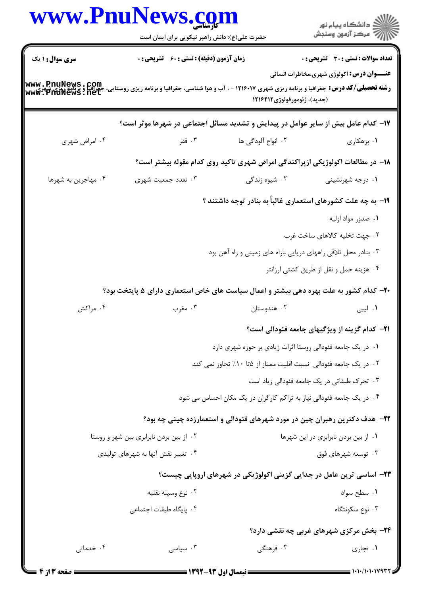|                                                                                                                                                                                                  | www.Pnulvews.com<br>حضرت علی(ع): دانش راهبر نیکویی برای ایمان است                      |                                                                                | ِ<br>∭ دانشڪاه پيام نور<br>∭ مرڪز آزمون وسنڊش         |  |
|--------------------------------------------------------------------------------------------------------------------------------------------------------------------------------------------------|----------------------------------------------------------------------------------------|--------------------------------------------------------------------------------|-------------------------------------------------------|--|
| <b>سری سوال : ۱ یک</b>                                                                                                                                                                           | <b>زمان آزمون (دقیقه) : تستی : 60 ٪ تشریحی : 0</b>                                     |                                                                                | تعداد سوالات : تستى : 30 قشريحى : 0                   |  |
| <b>www . PnuNews . Com</b><br><b>رشته تحصیلی/کد درس:</b> جغرافیا و برنامه ریزی شهری ۱۲۱۶۰۱۷ - ، آب و هوا شناسی، جغرافیا و برنامه ریزی روستایی، جغرافیا و برنامه ریزی شهری<br>www . PnuNews . net |                                                                                        | (جديد)، ژئومورفولوژي ١٢١۶۴١٢                                                   | <b>عنـــوان درس:</b> اکولوژی شهری،مخاطرات انسانی      |  |
|                                                                                                                                                                                                  | ۱۷– کدام عامل بیش از سایر عوامل در پیدایش و تشدید مسائل اجتماعی در شهرها موثر است؟     |                                                                                |                                                       |  |
| ۰۴ امراض شهري                                                                                                                                                                                    | ۰۳ فقر                                                                                 | ۰۲ انواع آلودگی ها                                                             | ۰۱ بزهکاری                                            |  |
|                                                                                                                                                                                                  |                                                                                        | ۱۸– در مطالعات اکولوژیکی ازپراکندگی امراض شهری تاکید روی کدام مقوله بیشتر است؟ |                                                       |  |
| ۰۴ مهاجرین به شهرها                                                                                                                                                                              | ۰۳ تعدد جمعیت شهری                                                                     | ۰۲ شیوه زندگی                                                                  | ۰۱ درجه شهرنشینی                                      |  |
|                                                                                                                                                                                                  |                                                                                        | ۱۹- به چه علت کشورهای استعماری غالباً به بنادر توجه داشتند ؟                   |                                                       |  |
|                                                                                                                                                                                                  |                                                                                        |                                                                                | ۰۱ صدور مواد اوليه                                    |  |
|                                                                                                                                                                                                  |                                                                                        |                                                                                | ۰۲ جهت تخلیه کالاهای ساخت غرب                         |  |
|                                                                                                                                                                                                  |                                                                                        | ۰۳ بنادر محل تلاقی راههای دریایی باراه های زمینی و راه آهن بود                 |                                                       |  |
|                                                                                                                                                                                                  |                                                                                        |                                                                                | ۰۴ هزینه حمل و نقل از طریق کشتی ارزانتر               |  |
|                                                                                                                                                                                                  | ۲۰– کدام کشور به علت بهره دهی بیشتر و اعمال سیاست های خاص استعماری دارای ۵ پایتخت بود؟ |                                                                                |                                                       |  |
| ۰۴ مراکش                                                                                                                                                                                         | ۰۳ مغرب                                                                                | ۰۲ هندوستان                                                                    | ۰۱ لیبی                                               |  |
|                                                                                                                                                                                                  |                                                                                        |                                                                                | <b>۲۱</b> – کدام گزینه از ویژگیهای جامعه فئودالی است؟ |  |
|                                                                                                                                                                                                  |                                                                                        | ۰۱ در یک جامعه فئودالی روستا اثرات زیادی بر حوزه شهری دارد                     |                                                       |  |
|                                                                                                                                                                                                  |                                                                                        | ۰۲ در یک جامعه فئودالی نسبت اقلیت ممتاز از ۵تا ۱۰٪ تجاوز نمی کند               |                                                       |  |
|                                                                                                                                                                                                  |                                                                                        |                                                                                | ۰۳ تحرک طبقاتی در یک جامعه فئودالی زیاد است           |  |
|                                                                                                                                                                                                  |                                                                                        | ۰۴ در یک جامعه فئودالی نیاز به تراکم کارگران در یک مکان احساس می شود           |                                                       |  |
|                                                                                                                                                                                                  |                                                                                        | ۲۲- هدف دکترین رهبران چین در مورد شهرهای فئودالی و استعمارزده چینی چه بود؟     |                                                       |  |
| ۰۲ از بین بردن نابرابری بین شهر و روستا                                                                                                                                                          |                                                                                        |                                                                                | ٠١ از بين بردن نابرابري در اين شهرها                  |  |
| ۰۴ تغییر نقش آنها به شهرهای تولیدی                                                                                                                                                               |                                                                                        |                                                                                | ۰۳ توسعه شهرهای فوق                                   |  |
|                                                                                                                                                                                                  |                                                                                        | ۲۳- اساسی ترین عامل در جدایی گزینی اکولوژیکی در شهرهای اروپایی چیست؟           |                                                       |  |
|                                                                                                                                                                                                  | ۰۲ نوع وسیله نقلیه                                                                     |                                                                                | ۰۱ سطح سواد                                           |  |
|                                                                                                                                                                                                  | ۰۴ پایگاه طبقات اجتماعی                                                                |                                                                                | ۰۳ نوع سکونتگاه                                       |  |
|                                                                                                                                                                                                  |                                                                                        |                                                                                | <b>۲۴</b> - بخش مرکزی شهرهای غربی چه نقشی دارد؟       |  |
| ۰۴ خدماتی                                                                                                                                                                                        | ۰۳ سیاسی                                                                               | ۲. فرهنگی                                                                      | ۰۱ تجاري                                              |  |
| <b>: صفحه 3 از 4</b>                                                                                                                                                                             |                                                                                        | = نیمسال اول ۹۳-۱۳۹۲ =                                                         | = ۱۰۱۰/۱۰۱۰۱۷۹۳۲ =                                    |  |